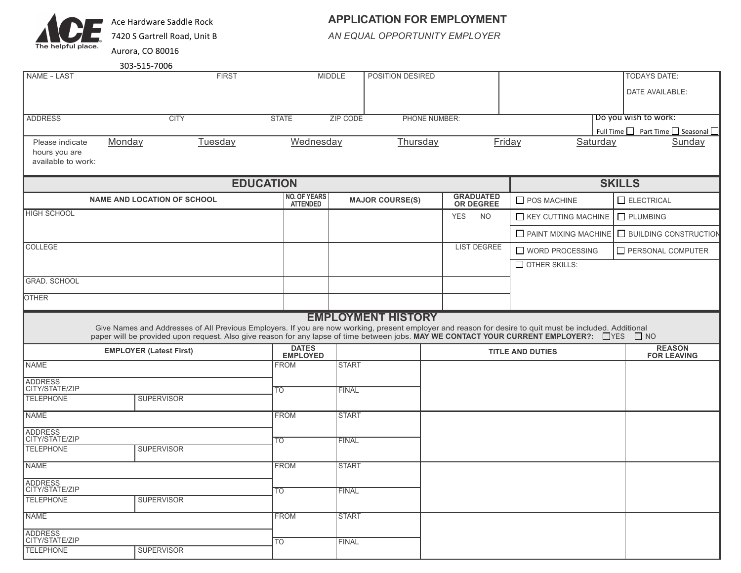

Ace Hardware Saddle Rock

7420 S Gartrell Road, Unit B

## **APPLICATION FOR EMPLOYMENT**

*AN EQUAL OPPORTUNITY EMPLOYER*

| Aurora, CO 80016 |
|------------------|
| 303-515-7006     |

| <b>NAME - LAST</b>                                     |                                    | <b>FIRST</b>                      |                                 | <b>MIDDLE</b>   | POSITION DESIRED          |                               |                                                                                                                                                                                                                                                                                                        |  | <b>TODAYS DATE:</b>                               |
|--------------------------------------------------------|------------------------------------|-----------------------------------|---------------------------------|-----------------|---------------------------|-------------------------------|--------------------------------------------------------------------------------------------------------------------------------------------------------------------------------------------------------------------------------------------------------------------------------------------------------|--|---------------------------------------------------|
|                                                        |                                    |                                   |                                 |                 |                           |                               |                                                                                                                                                                                                                                                                                                        |  | DATE AVAILABLE:                                   |
|                                                        |                                    |                                   |                                 |                 |                           |                               |                                                                                                                                                                                                                                                                                                        |  |                                                   |
| <b>ADDRESS</b>                                         | <b>CITY</b>                        |                                   | <b>STATE</b>                    | <b>ZIP CODE</b> | PHONE NUMBER:             |                               |                                                                                                                                                                                                                                                                                                        |  | Do you wish to work:                              |
|                                                        |                                    |                                   |                                 |                 |                           |                               |                                                                                                                                                                                                                                                                                                        |  | Full Time $\Box$ Part Time $\Box$ Seasonal $\Box$ |
| Please indicate<br>hours you are<br>available to work: | Monday                             | Tuesday                           | Wednesday                       |                 | Thursday                  | Friday                        | Saturday                                                                                                                                                                                                                                                                                               |  | Sunday                                            |
|                                                        |                                    | <b>EDUCATION</b><br><b>SKILLS</b> |                                 |                 |                           |                               |                                                                                                                                                                                                                                                                                                        |  |                                                   |
|                                                        | <b>NAME AND LOCATION OF SCHOOL</b> |                                   | NO. OF YEARS<br>ATTENDED        |                 | <b>MAJOR COURSE(S)</b>    | <b>GRADUATED</b><br>OR DEGREE | POS MACHINE                                                                                                                                                                                                                                                                                            |  | $\Box$ ELECTRICAL                                 |
| <b>HIGH SCHOOL</b>                                     |                                    |                                   |                                 |                 |                           | <b>YES</b><br><b>NO</b>       | KEY CUTTING MACHINE                                                                                                                                                                                                                                                                                    |  | $\Box$ PLUMBING                                   |
|                                                        |                                    |                                   |                                 |                 |                           |                               | PAINT MIXING MACHINE                                                                                                                                                                                                                                                                                   |  | <b>BUILDING CONSTRUCTION</b>                      |
| COLLEGE                                                |                                    |                                   |                                 |                 |                           | <b>LIST DEGREE</b>            | $\Box$ WORD PROCESSING                                                                                                                                                                                                                                                                                 |  | $\Box$ PERSONAL COMPUTER                          |
|                                                        |                                    |                                   |                                 |                 |                           |                               | OTHER SKILLS:                                                                                                                                                                                                                                                                                          |  |                                                   |
| <b>GRAD. SCHOOL</b>                                    |                                    |                                   |                                 |                 |                           |                               |                                                                                                                                                                                                                                                                                                        |  |                                                   |
| <b>OTHER</b>                                           |                                    |                                   |                                 |                 |                           |                               |                                                                                                                                                                                                                                                                                                        |  |                                                   |
|                                                        |                                    |                                   |                                 |                 | <b>EMPLOYMENT HISTORY</b> |                               |                                                                                                                                                                                                                                                                                                        |  |                                                   |
|                                                        |                                    |                                   |                                 |                 |                           |                               | Give Names and Addresses of All Previous Employers. If you are now working, present employer and reason for desire to quit must be included. Additional<br>paper will be provided upon request. Also give reason for any lapse of time between jobs. MAY WE CONTACT YOUR CURRENT EMPLOYER?: □ YES □ NO |  |                                                   |
| <b>EMPLOYER (Latest First)</b>                         |                                    |                                   | <b>DATES</b><br><b>EMPLOYED</b> |                 |                           | <b>TITLE AND DUTIES</b>       |                                                                                                                                                                                                                                                                                                        |  | <b>REASON</b><br><b>FOR LEAVING</b>               |
| <b>NAME</b>                                            |                                    |                                   | <b>FROM</b>                     | <b>START</b>    |                           |                               |                                                                                                                                                                                                                                                                                                        |  |                                                   |
| ADDRESS<br>CITY/STATE/ZIP                              |                                    |                                   | TO                              | <b>FINAL</b>    |                           |                               |                                                                                                                                                                                                                                                                                                        |  |                                                   |
| <b>TELEPHONE</b>                                       | <b>SUPERVISOR</b>                  |                                   |                                 |                 |                           |                               |                                                                                                                                                                                                                                                                                                        |  |                                                   |
| <b>NAME</b>                                            |                                    |                                   | <b>FROM</b>                     | <b>START</b>    |                           |                               |                                                                                                                                                                                                                                                                                                        |  |                                                   |
| ADDRESS<br>CITY/STATE/ZIP                              |                                    |                                   | TO                              | <b>FINAL</b>    |                           |                               |                                                                                                                                                                                                                                                                                                        |  |                                                   |
| <b>TELEPHONE</b>                                       | <b>SUPERVISOR</b>                  |                                   |                                 |                 |                           |                               |                                                                                                                                                                                                                                                                                                        |  |                                                   |
| <b>NAME</b>                                            |                                    |                                   | <b>FROM</b>                     | <b>START</b>    |                           |                               |                                                                                                                                                                                                                                                                                                        |  |                                                   |
| <b>ADDRESS</b><br>  CITY/STATE/ZIP                     |                                    | TO                                | <b>FINAL</b>                    |                 |                           |                               |                                                                                                                                                                                                                                                                                                        |  |                                                   |
| <b>TELEPHONE</b>                                       | <b>SUPERVISOR</b>                  |                                   |                                 |                 |                           |                               |                                                                                                                                                                                                                                                                                                        |  |                                                   |
| <b>NAME</b>                                            |                                    |                                   | <b>FROM</b>                     | <b>START</b>    |                           |                               |                                                                                                                                                                                                                                                                                                        |  |                                                   |
| ADDRESS<br>CITY/STATE/ZIP                              |                                    | <b>TO</b>                         | <b>FINAL</b>                    |                 |                           |                               |                                                                                                                                                                                                                                                                                                        |  |                                                   |
| <b>TELEPHONE</b>                                       | <b>SUPERVISOR</b>                  |                                   |                                 |                 |                           |                               |                                                                                                                                                                                                                                                                                                        |  |                                                   |